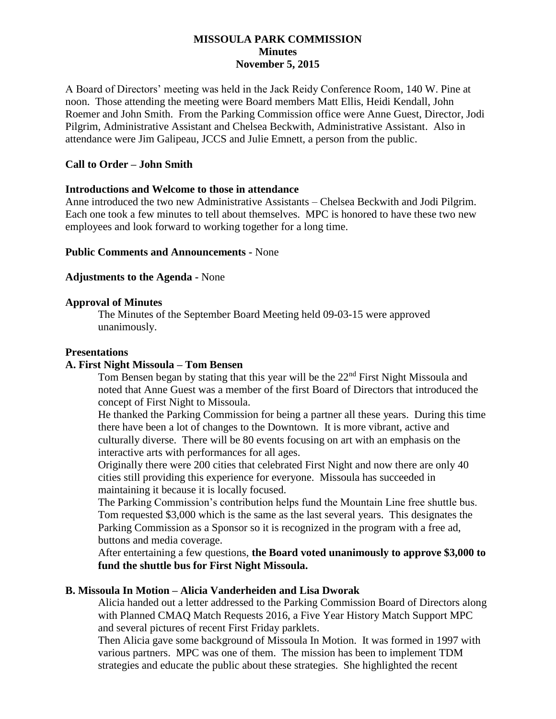### **MISSOULA PARK COMMISSION Minutes November 5, 2015**

A Board of Directors' meeting was held in the Jack Reidy Conference Room, 140 W. Pine at noon. Those attending the meeting were Board members Matt Ellis, Heidi Kendall, John Roemer and John Smith. From the Parking Commission office were Anne Guest, Director, Jodi Pilgrim, Administrative Assistant and Chelsea Beckwith, Administrative Assistant. Also in attendance were Jim Galipeau, JCCS and Julie Emnett, a person from the public.

### **Call to Order – John Smith**

#### **Introductions and Welcome to those in attendance**

Anne introduced the two new Administrative Assistants – Chelsea Beckwith and Jodi Pilgrim. Each one took a few minutes to tell about themselves. MPC is honored to have these two new employees and look forward to working together for a long time.

#### **Public Comments and Announcements -** None

#### **Adjustments to the Agenda -** None

#### **Approval of Minutes**

The Minutes of the September Board Meeting held 09-03-15 were approved unanimously.

#### **Presentations**

#### **A. First Night Missoula – Tom Bensen**

Tom Bensen began by stating that this year will be the 22<sup>nd</sup> First Night Missoula and noted that Anne Guest was a member of the first Board of Directors that introduced the concept of First Night to Missoula.

He thanked the Parking Commission for being a partner all these years. During this time there have been a lot of changes to the Downtown. It is more vibrant, active and culturally diverse. There will be 80 events focusing on art with an emphasis on the interactive arts with performances for all ages.

Originally there were 200 cities that celebrated First Night and now there are only 40 cities still providing this experience for everyone. Missoula has succeeded in maintaining it because it is locally focused.

The Parking Commission's contribution helps fund the Mountain Line free shuttle bus. Tom requested \$3,000 which is the same as the last several years. This designates the Parking Commission as a Sponsor so it is recognized in the program with a free ad, buttons and media coverage.

After entertaining a few questions, **the Board voted unanimously to approve \$3,000 to fund the shuttle bus for First Night Missoula.**

#### **B. Missoula In Motion – Alicia Vanderheiden and Lisa Dworak**

Alicia handed out a letter addressed to the Parking Commission Board of Directors along with Planned CMAQ Match Requests 2016, a Five Year History Match Support MPC and several pictures of recent First Friday parklets.

Then Alicia gave some background of Missoula In Motion. It was formed in 1997 with various partners. MPC was one of them. The mission has been to implement TDM strategies and educate the public about these strategies. She highlighted the recent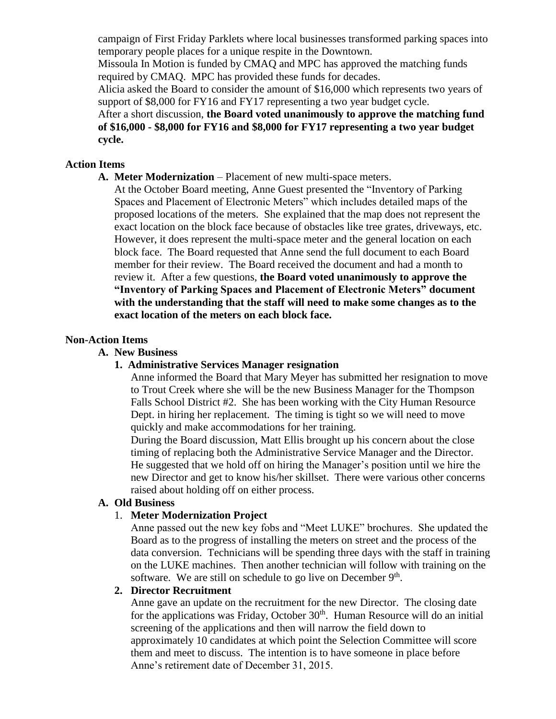campaign of First Friday Parklets where local businesses transformed parking spaces into temporary people places for a unique respite in the Downtown.

Missoula In Motion is funded by CMAQ and MPC has approved the matching funds required by CMAQ. MPC has provided these funds for decades.

Alicia asked the Board to consider the amount of \$16,000 which represents two years of support of \$8,000 for FY16 and FY17 representing a two year budget cycle.

After a short discussion, **the Board voted unanimously to approve the matching fund of \$16,000 - \$8,000 for FY16 and \$8,000 for FY17 representing a two year budget cycle.**

## **Action Items**

- **A. Meter Modernization** Placement of new multi-space meters.
	- At the October Board meeting, Anne Guest presented the "Inventory of Parking Spaces and Placement of Electronic Meters" which includes detailed maps of the proposed locations of the meters. She explained that the map does not represent the exact location on the block face because of obstacles like tree grates, driveways, etc. However, it does represent the multi-space meter and the general location on each block face. The Board requested that Anne send the full document to each Board member for their review. The Board received the document and had a month to review it. After a few questions, **the Board voted unanimously to approve the "Inventory of Parking Spaces and Placement of Electronic Meters" document with the understanding that the staff will need to make some changes as to the exact location of the meters on each block face.**

### **Non-Action Items**

**A. New Business**

## **1. Administrative Services Manager resignation**

Anne informed the Board that Mary Meyer has submitted her resignation to move to Trout Creek where she will be the new Business Manager for the Thompson Falls School District #2. She has been working with the City Human Resource Dept. in hiring her replacement. The timing is tight so we will need to move quickly and make accommodations for her training.

During the Board discussion, Matt Ellis brought up his concern about the close timing of replacing both the Administrative Service Manager and the Director. He suggested that we hold off on hiring the Manager's position until we hire the new Director and get to know his/her skillset. There were various other concerns raised about holding off on either process.

### **A. Old Business**

## 1. **Meter Modernization Project**

Anne passed out the new key fobs and "Meet LUKE" brochures. She updated the Board as to the progress of installing the meters on street and the process of the data conversion. Technicians will be spending three days with the staff in training on the LUKE machines. Then another technician will follow with training on the software. We are still on schedule to go live on December 9<sup>th</sup>.

### **2. Director Recruitment**

Anne gave an update on the recruitment for the new Director. The closing date for the applications was Friday, October  $30<sup>th</sup>$ . Human Resource will do an initial screening of the applications and then will narrow the field down to approximately 10 candidates at which point the Selection Committee will score them and meet to discuss. The intention is to have someone in place before Anne's retirement date of December 31, 2015.